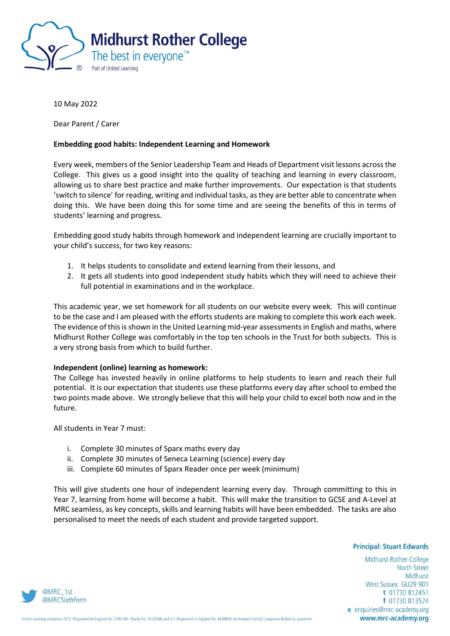

10 May 2022

Dear Parent / Carer

## **Embedding good habits: Independent Learning and Homework**

Every week, members of the Senior Leadership Team and Heads of Department visit lessons across the College. This gives us a good insight into the quality of teaching and learning in every classroom, allowing us to share best practice and make further improvements. Our expectation is that students 'switch to silence' for reading, writing and individual tasks, as they are better able to concentrate when doing this. We have been doing this for some time and are seeing the benefits of this in terms of students' learning and progress.

Embedding good study habits through homework and independent learning are crucially important to your child's success, for two key reasons:

- 1. It helps students to consolidate and extend learning from their lessons, and
- 2. It gets all students into good independent study habits which they will need to achieve their full potential in examinations and in the workplace.

This academic year, we set homework for all students on our website every week. This will continue to be the case and I am pleased with the efforts students are making to complete this work each week. The evidence of this is shown in the United Learning mid-year assessments in English and maths, where Midhurst Rother College was comfortably in the top ten schools in the Trust for both subjects. This is a very strong basis from which to build further.

## **Independent (online) learning as homework:**

The College has invested heavily in online platforms to help students to learn and reach their full potential. It is our expectation that students use these platforms every day after school to embed the two points made above. We strongly believe that this will help your child to excel both now and in the future.

All students in Year 7 must:

- i. Complete 30 minutes of Sparx maths every day
- ii. Complete 30 minutes of Seneca Learning (science) every day
- iii. Complete 60 minutes of Sparx Reader once per week (minimum)

This will give students one hour of independent learning every day. Through committing to this in Year 7, learning from home will become a habit. This will make the transition to GCSE and A-Level at MRC seamless, as key concepts, skills and learning habits will have been embedded. The tasks are also personalised to meet the needs of each student and provide targeted support.

**Principal: Stuart Edwards** 

Midhurst Rother College **North Street** Midhurst West Sussex GU29 9DT t 01730 812451 f 01730 813524 e enquiries@mrc-academy.org www.mrc-academy.org